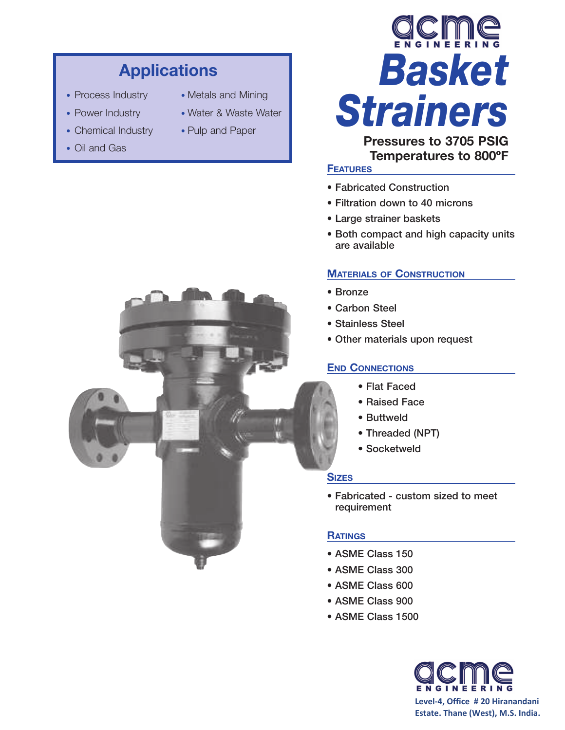# **Applications**

- 
- 
- Chemical Industry Pulp and Paper
- Oil and Gas
- Process Industry Metals and Mining
- Power Industry Water & Waste Water
	-



**Pressures to 3705 PSIG Temperatures to 800ºF**

### **FEATURES**

- Fabricated Construction
- Filtration down to 40 microns
- Large strainer baskets
- Both compact and high capacity units are available

### **MATERIALS OF CONSTRUCTION**

- Bronze
- Carbon Steel
- Stainless Steel
- Other materials upon request

### **END CONNECTIONS**

- Flat Faced
- Raised Face
- Buttweld
- Threaded (NPT)
- Socketweld

#### **SIZES**

• Fabricated - custom sized to meet requirement

#### **RATINGS**

- ASME Class 150
- ASME Class 300
- ASME Class 600
- ASME Class 900
- ASME Class 1500